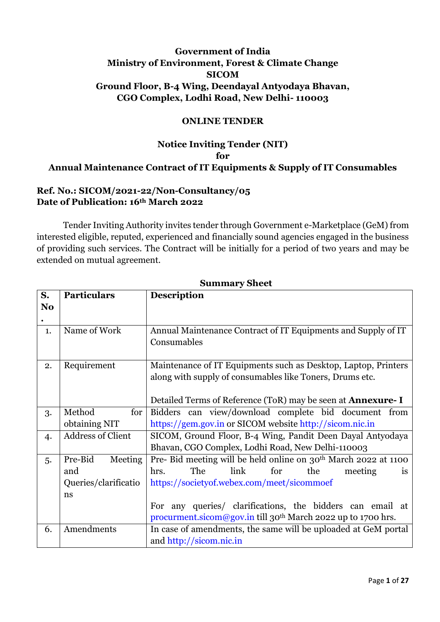## **Government of India Ministry of Environment, Forest & Climate Change SICOM Ground Floor, B-4 Wing, Deendayal Antyodaya Bhavan, CGO Complex, Lodhi Road, New Delhi- 110003**

#### **ONLINE TENDER**

# **Notice Inviting Tender (NIT) for Annual Maintenance Contract of IT Equipments & Supply of IT Consumables**

#### **Ref. No.: SICOM/2021-22/Non-Consultancy/05 Date of Publication: 16th March 2022**

Tender Inviting Authority invites tender through Government e-Marketplace (GeM) from interested eligible, reputed, experienced and financially sound agencies engaged in the business of providing such services. The Contract will be initially for a period of two years and may be extended on mutual agreement.

| S.             | <b>Particulars</b>         | <b>Description</b>                                                          |  |  |  |  |  |
|----------------|----------------------------|-----------------------------------------------------------------------------|--|--|--|--|--|
| N <sub>o</sub> |                            |                                                                             |  |  |  |  |  |
|                |                            |                                                                             |  |  |  |  |  |
| 1.             | Name of Work               | Annual Maintenance Contract of IT Equipments and Supply of IT               |  |  |  |  |  |
|                |                            | Consumables                                                                 |  |  |  |  |  |
|                |                            |                                                                             |  |  |  |  |  |
| 2.             | Requirement                | Maintenance of IT Equipments such as Desktop, Laptop, Printers              |  |  |  |  |  |
|                |                            | along with supply of consumables like Toners, Drums etc.                    |  |  |  |  |  |
|                |                            |                                                                             |  |  |  |  |  |
|                |                            | Detailed Terms of Reference (ToR) may be seen at <b>Annexure-I</b>          |  |  |  |  |  |
| 3.             | Method<br>for <sub>l</sub> | Bidders can view/download complete bid document from                        |  |  |  |  |  |
|                | obtaining NIT              | https://gem.gov.in or SICOM website http://sicom.nic.in                     |  |  |  |  |  |
| 4.             | <b>Address of Client</b>   | SICOM, Ground Floor, B-4 Wing, Pandit Deen Dayal Antyodaya                  |  |  |  |  |  |
|                |                            | Bhavan, CGO Complex, Lodhi Road, New Delhi-110003                           |  |  |  |  |  |
| 5.             | Pre-Bid<br>Meeting         | Pre- Bid meeting will be held online on 30 <sup>th</sup> March 2022 at 1100 |  |  |  |  |  |
|                | and                        | The<br>link<br>for<br>hrs.<br>the<br>meeting<br>1S                          |  |  |  |  |  |
|                | Queries/clarificatio       | https://societyof.webex.com/meet/sicommoef                                  |  |  |  |  |  |
|                | ns                         |                                                                             |  |  |  |  |  |
|                |                            | For any queries/ clarifications, the bidders can email at                   |  |  |  |  |  |
|                |                            | procurment.sicom@gov.in till 30 <sup>th</sup> March 2022 up to 1700 hrs.    |  |  |  |  |  |
| 6.             | Amendments                 | In case of amendments, the same will be uploaded at GeM portal              |  |  |  |  |  |
|                |                            | and http://sicom.nic.in                                                     |  |  |  |  |  |

#### **Summary Sheet**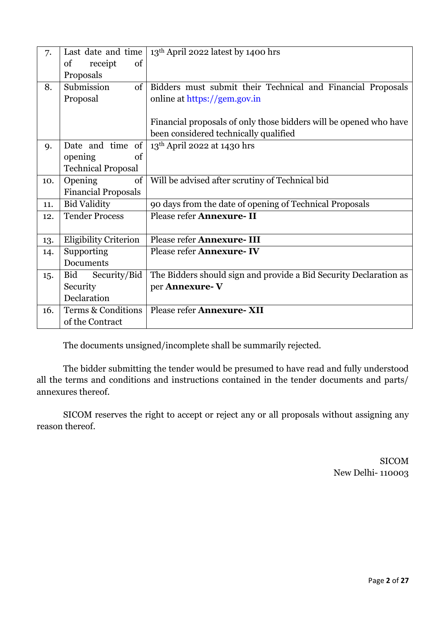| 7.  | Last date and time           | 13 <sup>th</sup> April 2022 latest by 1400 hrs                    |  |  |
|-----|------------------------------|-------------------------------------------------------------------|--|--|
|     | of<br>receipt<br>of          |                                                                   |  |  |
|     | Proposals                    |                                                                   |  |  |
| 8.  | Submission<br>of             | Bidders must submit their Technical and Financial Proposals       |  |  |
|     | Proposal                     | online at https://gem.gov.in                                      |  |  |
|     |                              |                                                                   |  |  |
|     |                              | Financial proposals of only those bidders will be opened who have |  |  |
|     |                              | been considered technically qualified                             |  |  |
| 9.  | Date and time of             | 13 <sup>th</sup> April 2022 at 1430 hrs                           |  |  |
|     | of<br>opening                |                                                                   |  |  |
|     | <b>Technical Proposal</b>    |                                                                   |  |  |
| 10. | Opening<br>of                | Will be advised after scrutiny of Technical bid                   |  |  |
|     | <b>Financial Proposals</b>   |                                                                   |  |  |
| 11. | <b>Bid Validity</b>          | 90 days from the date of opening of Technical Proposals           |  |  |
| 12. | <b>Tender Process</b>        | Please refer Annexure- II                                         |  |  |
|     |                              |                                                                   |  |  |
| 13. | <b>Eligibility Criterion</b> | Please refer Annexure- III                                        |  |  |
| 14. | Supporting                   | Please refer Annexure-IV                                          |  |  |
|     | Documents                    |                                                                   |  |  |
| 15. | Security/Bid<br>Bid          | The Bidders should sign and provide a Bid Security Declaration as |  |  |
|     | Security                     | per Annexure-V                                                    |  |  |
|     | Declaration                  |                                                                   |  |  |
| 16. | Terms & Conditions           | Please refer Annexure-XII                                         |  |  |
|     | of the Contract              |                                                                   |  |  |

The documents unsigned/incomplete shall be summarily rejected.

The bidder submitting the tender would be presumed to have read and fully understood all the terms and conditions and instructions contained in the tender documents and parts/ annexures thereof.

SICOM reserves the right to accept or reject any or all proposals without assigning any reason thereof.

> SICOM New Delhi- 110003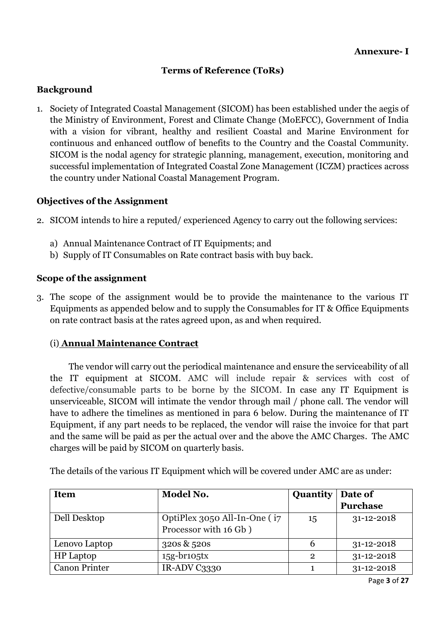## **Terms of Reference (ToRs)**

#### **Background**

1. Society of Integrated Coastal Management (SICOM) has been established under the aegis of the Ministry of Environment, Forest and Climate Change (MoEFCC), Government of India with a vision for vibrant, healthy and resilient Coastal and Marine Environment for continuous and enhanced outflow of benefits to the Country and the Coastal Community. SICOM is the nodal agency for strategic planning, management, execution, monitoring and successful implementation of Integrated Coastal Zone Management (ICZM) practices across the country under National Coastal Management Program.

#### **Objectives of the Assignment**

- 2. SICOM intends to hire a reputed/ experienced Agency to carry out the following services:
	- a) Annual Maintenance Contract of IT Equipments; and
	- b) Supply of IT Consumables on Rate contract basis with buy back.

#### **Scope of the assignment**

3. The scope of the assignment would be to provide the maintenance to the various IT Equipments as appended below and to supply the Consumables for IT & Office Equipments on rate contract basis at the rates agreed upon, as and when required.

#### (i) **Annual Maintenance Contract**

 The vendor will carry out the periodical maintenance and ensure the serviceability of all the IT equipment at SICOM. AMC will include repair & services with cost of defective/consumable parts to be borne by the SICOM. In case any IT Equipment is unserviceable, SICOM will intimate the vendor through mail / phone call. The vendor will have to adhere the timelines as mentioned in para 6 below. During the maintenance of IT Equipment, if any part needs to be replaced, the vendor will raise the invoice for that part and the same will be paid as per the actual over and the above the AMC Charges. The AMC charges will be paid by SICOM on quarterly basis.

| <b>Item</b>          | Model No.                    | Quantity       | Date of          |
|----------------------|------------------------------|----------------|------------------|
|                      |                              |                | <b>Purchase</b>  |
| Dell Desktop         | OptiPlex 3050 All-In-One (i7 | 15             | $31 - 12 - 2018$ |
|                      | Processor with 16 Gb)        |                |                  |
| Lenovo Laptop        | 320s & 520s                  | b              | $31 - 12 - 2018$ |
| <b>HP</b> Laptop     | $15g-br105tx$                | $\overline{2}$ | $31 - 12 - 2018$ |
| <b>Canon Printer</b> | IR-ADV C3330                 |                | $31 - 12 - 2018$ |

The details of the various IT Equipment which will be covered under AMC are as under: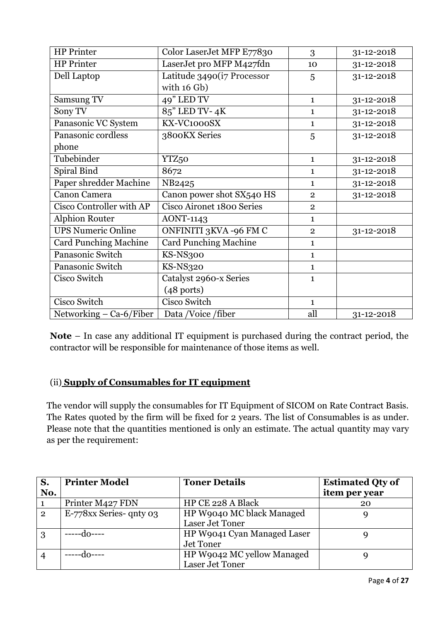| <b>HP</b> Printer            | Color LaserJet MFP E77830    | 3              | 31-12-2018       |
|------------------------------|------------------------------|----------------|------------------|
| <b>HP</b> Printer            | LaserJet pro MFP M427fdn     | 10             | 31-12-2018       |
| Dell Laptop                  | Latitude 3490(i7 Processor   | 5              | 31-12-2018       |
|                              | with 16 Gb)                  |                |                  |
| Samsung TV                   | 49" LED TV                   | $\mathbf{1}$   | 31-12-2018       |
| Sony TV                      | 85" LED TV-4K                | $\mathbf{1}$   | 31-12-2018       |
| Panasonic VC System          | KX-VC1000SX                  | $\mathbf{1}$   | 31-12-2018       |
| Panasonic cordless           | 3800KX Series                | 5              | 31-12-2018       |
| phone                        |                              |                |                  |
| Tubebinder                   | YTZ <sub>50</sub>            | $\mathbf{1}$   | 31-12-2018       |
| Spiral Bind                  | 8672                         | $\mathbf{1}$   | 31-12-2018       |
| Paper shredder Machine       | NB2425                       | $\mathbf{1}$   | 31-12-2018       |
| Canon Camera                 | Canon power shot SX540 HS    | $\overline{2}$ | 31-12-2018       |
| Cisco Controller with AP     | Cisco Aironet 1800 Series    | $\overline{2}$ |                  |
| <b>Alphion Router</b>        | <b>AONT-1143</b>             | 1              |                  |
| <b>UPS Numeric Online</b>    | ONFINITI 3KVA -96 FM C       | $\overline{2}$ | $31 - 12 - 2018$ |
| <b>Card Punching Machine</b> | <b>Card Punching Machine</b> | $\mathbf{1}$   |                  |
| Panasonic Switch             | KS-NS300                     | $\mathbf{1}$   |                  |
| Panasonic Switch             | <b>KS-NS320</b>              | $\mathbf{1}$   |                  |
| Cisco Switch                 | Catalyst 2960-x Series       | $\mathbf{1}$   |                  |
|                              | $(48$ ports)                 |                |                  |
| Cisco Switch                 | Cisco Switch                 | $\mathbf{1}$   |                  |
| Networking $-$ Ca-6/Fiber    | Data /Voice /fiber           | all            | 31-12-2018       |

**Note** – In case any additional IT equipment is purchased during the contract period, the contractor will be responsible for maintenance of those items as well.

# (ii) **Supply of Consumables for IT equipment**

The vendor will supply the consumables for IT Equipment of SICOM on Rate Contract Basis. The Rates quoted by the firm will be fixed for 2 years. The list of Consumables is as under. Please note that the quantities mentioned is only an estimate. The actual quantity may vary as per the requirement:

| S.             | <b>Printer Model</b>    | <b>Toner Details</b>        | <b>Estimated Qty of</b> |
|----------------|-------------------------|-----------------------------|-------------------------|
| No.            |                         |                             | item per year           |
|                | Printer M427 FDN        | HP CE 228 A Black           | 20                      |
| $\overline{2}$ | E-778xx Series- qnty 03 | HP W9040 MC black Managed   |                         |
|                |                         | Laser Jet Toner             |                         |
| 3              |                         | HP W9041 Cyan Managed Laser |                         |
|                |                         | Jet Toner                   |                         |
| $\overline{4}$ |                         | HP W9042 MC yellow Managed  |                         |
|                |                         | Laser Jet Toner             |                         |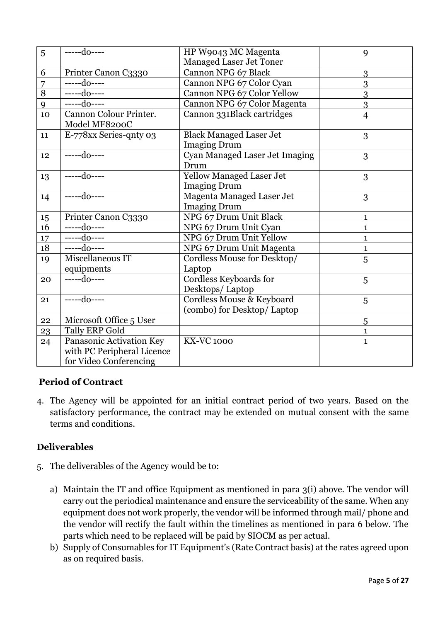| 5  | $---do---$                 | HP W9043 MC Magenta              | 9              |
|----|----------------------------|----------------------------------|----------------|
|    |                            | <b>Managed Laser Jet Toner</b>   |                |
| 6  | Printer Canon C3330        | Cannon NPG 67 Black              | 3              |
| 7  | -----do----                | Cannon NPG 67 Color Cyan         | 3              |
| 8  | -----do----                | Cannon NPG 67 Color Yellow       | 3              |
| 9  | $---do---$                 | Cannon NPG 67 Color Magenta      | 3              |
| 10 | Cannon Colour Printer.     | Cannon 331Black cartridges       | $\overline{4}$ |
|    | Model MF8200C              |                                  |                |
| 11 | E-778xx Series-qnty 03     | <b>Black Managed Laser Jet</b>   | 3              |
|    |                            | <b>Imaging Drum</b>              |                |
| 12 | $---do---$                 | Cyan Managed Laser Jet Imaging   | 3              |
|    |                            | Drum                             |                |
| 13 | $---do---$                 | <b>Yellow Managed Laser Jet</b>  | 3              |
|    |                            | <b>Imaging Drum</b>              |                |
| 14 | $---do---$                 | <b>Magenta Managed Laser Jet</b> | 3              |
|    |                            | <b>Imaging Drum</b>              |                |
| 15 | Printer Canon C3330        | NPG 67 Drum Unit Black           | $\mathbf{1}$   |
| 16 | $---do---$                 | NPG 67 Drum Unit Cyan            | $\mathbf{1}$   |
| 17 | $---do---$                 | NPG 67 Drum Unit Yellow          | $\mathbf{1}$   |
| 18 | $---do---$                 | NPG 67 Drum Unit Magenta         | 1              |
| 19 | Miscellaneous IT           | Cordless Mouse for Desktop/      | 5              |
|    | equipments                 | Laptop                           |                |
| 20 | $---do---$                 | Cordless Keyboards for           | 5              |
|    |                            | Desktops/Laptop                  |                |
| 21 | $---do---$                 | Cordless Mouse & Keyboard        | 5              |
|    |                            | (combo) for Desktop/Laptop       |                |
| 22 | Microsoft Office 5 User    |                                  | $\overline{5}$ |
| 23 | Tally ERP Gold             |                                  | $\mathbf{1}$   |
| 24 | Panasonic Activation Key   | <b>KX-VC 1000</b>                | $\mathbf{1}$   |
|    | with PC Peripheral Licence |                                  |                |
|    | for Video Conferencing     |                                  |                |

# **Period of Contract**

4. The Agency will be appointed for an initial contract period of two years. Based on the satisfactory performance, the contract may be extended on mutual consent with the same terms and conditions.

#### **Deliverables**

- 5. The deliverables of the Agency would be to:
	- a) Maintain the IT and office Equipment as mentioned in para 3(i) above. The vendor will carry out the periodical maintenance and ensure the serviceability of the same. When any equipment does not work properly, the vendor will be informed through mail/ phone and the vendor will rectify the fault within the timelines as mentioned in para 6 below. The parts which need to be replaced will be paid by SIOCM as per actual.
	- b) Supply of Consumables for IT Equipment's (Rate Contract basis) at the rates agreed upon as on required basis.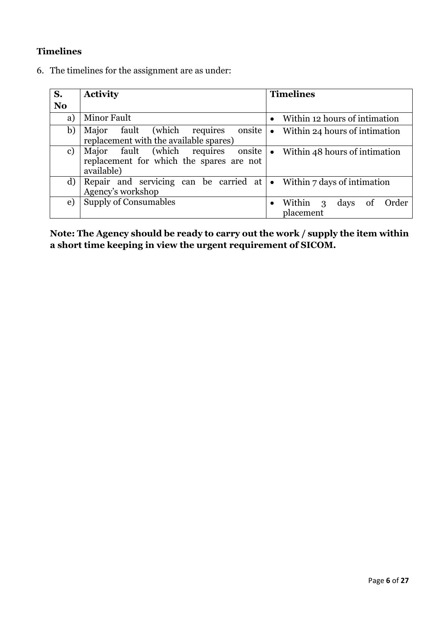# **Timelines**

6. The timelines for the assignment are as under:

| S.             | <b>Activity</b>                                                                              | <b>Timelines</b>                                                        |
|----------------|----------------------------------------------------------------------------------------------|-------------------------------------------------------------------------|
| N <sub>0</sub> |                                                                                              |                                                                         |
| a)             | <b>Minor Fault</b>                                                                           | Within 12 hours of intimation<br>$\bullet$                              |
| b)             | requires<br>onsite<br>fault (which<br>Major<br>replacement with the available spares)        | Within 24 hours of intimation<br>$\bullet$                              |
| $\mathbf{c})$  | Major fault (which requires onsite<br>replacement for which the spares are not<br>available) | Within 48 hours of intimation<br>$\bullet$                              |
| d)             | Repair and servicing can be carried at<br>Agency's workshop                                  | • Within $7$ days of intimation                                         |
| e)             | Supply of Consumables                                                                        | Within<br>Order<br>days<br><sub>of</sub><br>3<br>$\bullet$<br>placement |

**Note: The Agency should be ready to carry out the work / supply the item within a short time keeping in view the urgent requirement of SICOM.**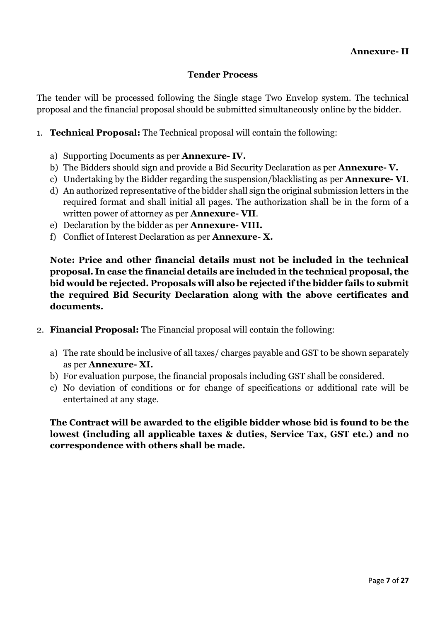## **Tender Process**

The tender will be processed following the Single stage Two Envelop system. The technical proposal and the financial proposal should be submitted simultaneously online by the bidder.

- 1. **Technical Proposal:** The Technical proposal will contain the following:
	- a) Supporting Documents as per **Annexure- IV.**
	- b) The Bidders should sign and provide a Bid Security Declaration as per **Annexure- V.**
	- c) Undertaking by the Bidder regarding the suspension/blacklisting as per **Annexure- VI**.
	- d) An authorized representative of the bidder shall sign the original submission letters in the required format and shall initial all pages. The authorization shall be in the form of a written power of attorney as per **Annexure- VII**.
	- e) Declaration by the bidder as per **Annexure- VIII.**
	- f) Conflict of Interest Declaration as per **Annexure- X.**

**Note: Price and other financial details must not be included in the technical proposal. In case the financial details are included in the technical proposal, the bid would be rejected. Proposals will also be rejected if the bidder fails to submit the required Bid Security Declaration along with the above certificates and documents.** 

- 2. **Financial Proposal:** The Financial proposal will contain the following:
	- a) The rate should be inclusive of all taxes/ charges payable and GST to be shown separately as per **Annexure- XI.**
	- b) For evaluation purpose, the financial proposals including GST shall be considered.
	- c) No deviation of conditions or for change of specifications or additional rate will be entertained at any stage.

**The Contract will be awarded to the eligible bidder whose bid is found to be the lowest (including all applicable taxes & duties, Service Tax, GST etc.) and no correspondence with others shall be made.**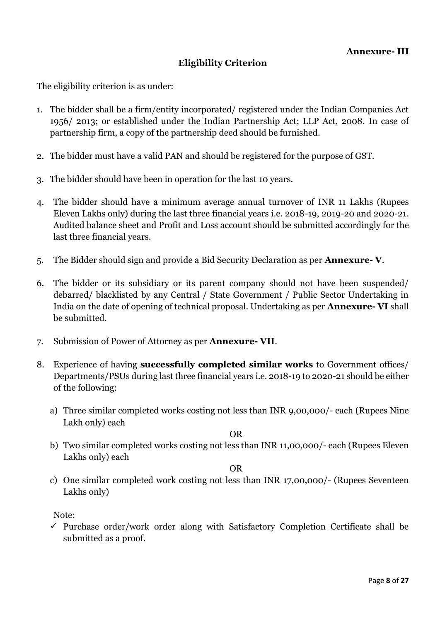# **Eligibility Criterion**

The eligibility criterion is as under:

- 1. The bidder shall be a firm/entity incorporated/ registered under the Indian Companies Act 1956/ 2013; or established under the Indian Partnership Act; LLP Act, 2008. In case of partnership firm, a copy of the partnership deed should be furnished.
- 2. The bidder must have a valid PAN and should be registered for the purpose of GST.
- 3. The bidder should have been in operation for the last 10 years.
- 4. The bidder should have a minimum average annual turnover of INR 11 Lakhs (Rupees Eleven Lakhs only) during the last three financial years i.e. 2018-19, 2019-20 and 2020-21. Audited balance sheet and Profit and Loss account should be submitted accordingly for the last three financial years.
- 5. The Bidder should sign and provide a Bid Security Declaration as per **Annexure- V**.
- 6. The bidder or its subsidiary or its parent company should not have been suspended/ debarred/ blacklisted by any Central / State Government / Public Sector Undertaking in India on the date of opening of technical proposal. Undertaking as per **Annexure- VI** shall be submitted.
- 7. Submission of Power of Attorney as per **Annexure- VII**.
- 8. Experience of having **successfully completed similar works** to Government offices/ Departments/PSUs during last three financial years i.e. 2018-19 to 2020-21 should be either of the following:
	- a) Three similar completed works costing not less than INR 9,00,000/- each (Rupees Nine Lakh only) each

OR

b) Two similar completed works costing not less than INR 11,00,000/- each (Rupees Eleven Lakhs only) each

OR

c) One similar completed work costing not less than INR 17,00,000/- (Rupees Seventeen Lakhs only)

Note:

 $\checkmark$  Purchase order/work order along with Satisfactory Completion Certificate shall be submitted as a proof.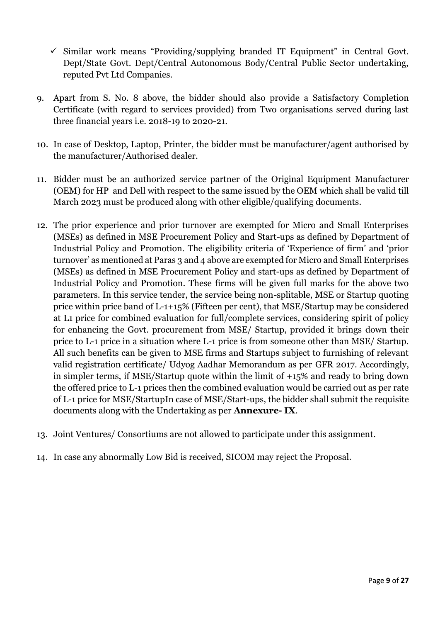- $\checkmark$  Similar work means "Providing/supplying branded IT Equipment" in Central Govt. Dept/State Govt. Dept/Central Autonomous Body/Central Public Sector undertaking, reputed Pvt Ltd Companies.
- 9. Apart from S. No. 8 above, the bidder should also provide a Satisfactory Completion Certificate (with regard to services provided) from Two organisations served during last three financial years i.e. 2018-19 to 2020-21.
- 10. In case of Desktop, Laptop, Printer, the bidder must be manufacturer/agent authorised by the manufacturer/Authorised dealer.
- 11. Bidder must be an authorized service partner of the Original Equipment Manufacturer (OEM) for HP and Dell with respect to the same issued by the OEM which shall be valid till March 2023 must be produced along with other eligible/qualifying documents.
- 12. The prior experience and prior turnover are exempted for Micro and Small Enterprises (MSEs) as defined in MSE Procurement Policy and Start-ups as defined by Department of Industrial Policy and Promotion. The eligibility criteria of 'Experience of firm' and 'prior turnover' as mentioned at Paras 3 and 4 above are exempted for Micro and Small Enterprises (MSEs) as defined in MSE Procurement Policy and start-ups as defined by Department of Industrial Policy and Promotion. These firms will be given full marks for the above two parameters. In this service tender, the service being non-splitable, MSE or Startup quoting price within price band of L-1+15% (Fifteen per cent), that MSE/Startup may be considered at L1 price for combined evaluation for full/complete services, considering spirit of policy for enhancing the Govt. procurement from MSE/ Startup, provided it brings down their price to L-1 price in a situation where L-1 price is from someone other than MSE/ Startup. All such benefits can be given to MSE firms and Startups subject to furnishing of relevant valid registration certificate/ Udyog Aadhar Memorandum as per GFR 2017. Accordingly, in simpler terms, if MSE/Startup quote within the limit of +15% and ready to bring down the offered price to L-1 prices then the combined evaluation would be carried out as per rate of L-1 price for MSE/StartupIn case of MSE/Start-ups, the bidder shall submit the requisite documents along with the Undertaking as per **Annexure- IX**.
- 13. Joint Ventures/ Consortiums are not allowed to participate under this assignment.
- 14. In case any abnormally Low Bid is received, SICOM may reject the Proposal.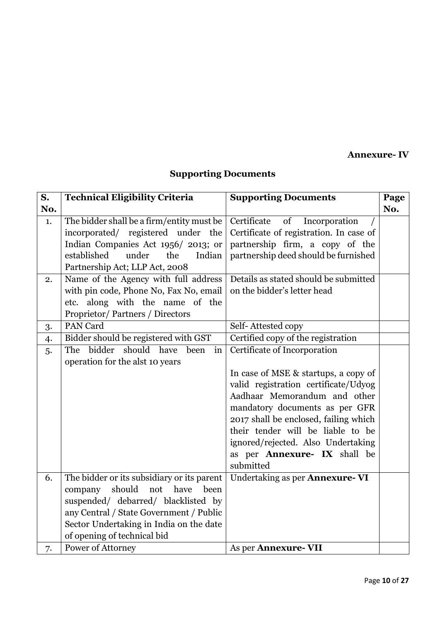**Annexure- IV**

# **Supporting Documents**

| S.  | <b>Technical Eligibility Criteria</b>      | <b>Supporting Documents</b>             | Page |
|-----|--------------------------------------------|-----------------------------------------|------|
| No. |                                            |                                         | No.  |
| 1.  | The bidder shall be a firm/entity must be  | Certificate<br>of<br>Incorporation      |      |
|     | incorporated/ registered under the         | Certificate of registration. In case of |      |
|     | Indian Companies Act 1956/2013; or         | partnership firm, a copy of the         |      |
|     | established<br>under<br>the<br>Indian      | partnership deed should be furnished    |      |
|     | Partnership Act; LLP Act, 2008             |                                         |      |
| 2.  | Name of the Agency with full address       | Details as stated should be submitted   |      |
|     | with pin code, Phone No, Fax No, email     | on the bidder's letter head             |      |
|     | etc. along with the name of the            |                                         |      |
|     | Proprietor/Partners / Directors            |                                         |      |
| 3.  | PAN Card                                   | Self-Attested copy                      |      |
| 4.  | Bidder should be registered with GST       | Certified copy of the registration      |      |
| 5.  | bidder should have<br>The<br>been<br>in    | Certificate of Incorporation            |      |
|     | operation for the alst 10 years            |                                         |      |
|     |                                            | In case of MSE & startups, a copy of    |      |
|     |                                            | valid registration certificate/Udyog    |      |
|     |                                            | Aadhaar Memorandum and other            |      |
|     |                                            | mandatory documents as per GFR          |      |
|     |                                            | 2017 shall be enclosed, failing which   |      |
|     |                                            | their tender will be liable to be       |      |
|     |                                            | ignored/rejected. Also Undertaking      |      |
|     |                                            | as per Annexure- IX shall be            |      |
|     |                                            | submitted                               |      |
| 6.  | The bidder or its subsidiary or its parent | Undertaking as per Annexure-VI          |      |
|     | should<br>not<br>have<br>company<br>been   |                                         |      |
|     | suspended/ debarred/ blacklisted by        |                                         |      |
|     | any Central / State Government / Public    |                                         |      |
|     | Sector Undertaking in India on the date    |                                         |      |
|     | of opening of technical bid                |                                         |      |
| 7.  | Power of Attorney                          | As per Annexure-VII                     |      |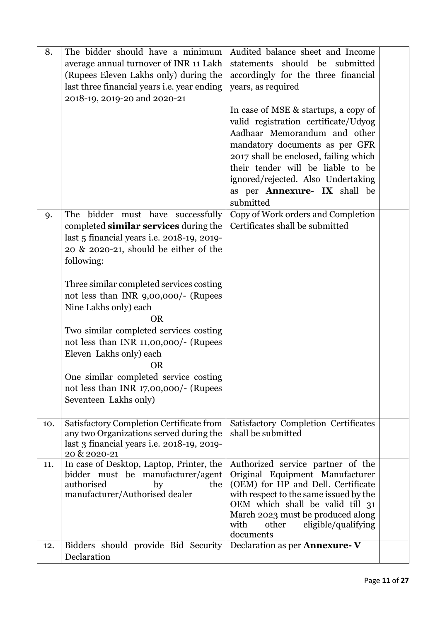| 8.  | The bidder should have a minimum                                                                                                                                                                                                                                                                  | Audited balance sheet and Income                                                                                                                                                                                                                     |  |
|-----|---------------------------------------------------------------------------------------------------------------------------------------------------------------------------------------------------------------------------------------------------------------------------------------------------|------------------------------------------------------------------------------------------------------------------------------------------------------------------------------------------------------------------------------------------------------|--|
|     | average annual turnover of INR 11 Lakh                                                                                                                                                                                                                                                            | statements should be submitted                                                                                                                                                                                                                       |  |
|     | (Rupees Eleven Lakhs only) during the                                                                                                                                                                                                                                                             | accordingly for the three financial                                                                                                                                                                                                                  |  |
|     | last three financial years <i>i.e.</i> year ending                                                                                                                                                                                                                                                | years, as required                                                                                                                                                                                                                                   |  |
|     | 2018-19, 2019-20 and 2020-21                                                                                                                                                                                                                                                                      |                                                                                                                                                                                                                                                      |  |
|     |                                                                                                                                                                                                                                                                                                   | In case of MSE & startups, a copy of                                                                                                                                                                                                                 |  |
|     |                                                                                                                                                                                                                                                                                                   | valid registration certificate/Udyog                                                                                                                                                                                                                 |  |
|     |                                                                                                                                                                                                                                                                                                   | Aadhaar Memorandum and other                                                                                                                                                                                                                         |  |
|     |                                                                                                                                                                                                                                                                                                   |                                                                                                                                                                                                                                                      |  |
|     |                                                                                                                                                                                                                                                                                                   | mandatory documents as per GFR                                                                                                                                                                                                                       |  |
|     |                                                                                                                                                                                                                                                                                                   | 2017 shall be enclosed, failing which                                                                                                                                                                                                                |  |
|     |                                                                                                                                                                                                                                                                                                   | their tender will be liable to be                                                                                                                                                                                                                    |  |
|     |                                                                                                                                                                                                                                                                                                   | ignored/rejected. Also Undertaking                                                                                                                                                                                                                   |  |
|     |                                                                                                                                                                                                                                                                                                   | as per Annexure- IX shall be                                                                                                                                                                                                                         |  |
|     |                                                                                                                                                                                                                                                                                                   | submitted                                                                                                                                                                                                                                            |  |
| 9.  | The bidder must have successfully                                                                                                                                                                                                                                                                 | Copy of Work orders and Completion                                                                                                                                                                                                                   |  |
|     | completed similar services during the                                                                                                                                                                                                                                                             | Certificates shall be submitted                                                                                                                                                                                                                      |  |
|     | last 5 financial years i.e. 2018-19, 2019-                                                                                                                                                                                                                                                        |                                                                                                                                                                                                                                                      |  |
|     | 20 & 2020-21, should be either of the                                                                                                                                                                                                                                                             |                                                                                                                                                                                                                                                      |  |
|     | following:                                                                                                                                                                                                                                                                                        |                                                                                                                                                                                                                                                      |  |
|     |                                                                                                                                                                                                                                                                                                   |                                                                                                                                                                                                                                                      |  |
|     | Three similar completed services costing                                                                                                                                                                                                                                                          |                                                                                                                                                                                                                                                      |  |
|     | not less than INR 9,00,000/- (Rupees                                                                                                                                                                                                                                                              |                                                                                                                                                                                                                                                      |  |
|     | Nine Lakhs only) each                                                                                                                                                                                                                                                                             |                                                                                                                                                                                                                                                      |  |
|     | <b>OR</b>                                                                                                                                                                                                                                                                                         |                                                                                                                                                                                                                                                      |  |
|     |                                                                                                                                                                                                                                                                                                   |                                                                                                                                                                                                                                                      |  |
|     | Two similar completed services costing                                                                                                                                                                                                                                                            |                                                                                                                                                                                                                                                      |  |
|     | not less than INR 11,00,000/- (Rupees                                                                                                                                                                                                                                                             |                                                                                                                                                                                                                                                      |  |
|     | Eleven Lakhs only) each                                                                                                                                                                                                                                                                           |                                                                                                                                                                                                                                                      |  |
|     | <b>OR</b>                                                                                                                                                                                                                                                                                         |                                                                                                                                                                                                                                                      |  |
|     |                                                                                                                                                                                                                                                                                                   |                                                                                                                                                                                                                                                      |  |
|     |                                                                                                                                                                                                                                                                                                   |                                                                                                                                                                                                                                                      |  |
|     | Seventeen Lakhs only)                                                                                                                                                                                                                                                                             |                                                                                                                                                                                                                                                      |  |
|     |                                                                                                                                                                                                                                                                                                   |                                                                                                                                                                                                                                                      |  |
| 10. | Satisfactory Completion Certificate from                                                                                                                                                                                                                                                          | Satisfactory Completion Certificates                                                                                                                                                                                                                 |  |
|     | any two Organizations served during the                                                                                                                                                                                                                                                           | shall be submitted                                                                                                                                                                                                                                   |  |
|     |                                                                                                                                                                                                                                                                                                   |                                                                                                                                                                                                                                                      |  |
|     |                                                                                                                                                                                                                                                                                                   |                                                                                                                                                                                                                                                      |  |
|     |                                                                                                                                                                                                                                                                                                   |                                                                                                                                                                                                                                                      |  |
|     |                                                                                                                                                                                                                                                                                                   |                                                                                                                                                                                                                                                      |  |
|     |                                                                                                                                                                                                                                                                                                   |                                                                                                                                                                                                                                                      |  |
|     |                                                                                                                                                                                                                                                                                                   |                                                                                                                                                                                                                                                      |  |
|     |                                                                                                                                                                                                                                                                                                   |                                                                                                                                                                                                                                                      |  |
|     |                                                                                                                                                                                                                                                                                                   | with<br>other                                                                                                                                                                                                                                        |  |
|     |                                                                                                                                                                                                                                                                                                   |                                                                                                                                                                                                                                                      |  |
|     |                                                                                                                                                                                                                                                                                                   | documents                                                                                                                                                                                                                                            |  |
| 12. | Bidders should provide Bid Security                                                                                                                                                                                                                                                               | Declaration as per <b>Annexure-V</b>                                                                                                                                                                                                                 |  |
| 11. | One similar completed service costing<br>not less than INR 17,00,000/- (Rupees<br>last 3 financial years <i>i.e.</i> 2018-19, 2019-<br>20 & 2020-21<br>In case of Desktop, Laptop, Printer, the<br>bidder must be manufacturer/agent<br>authorised<br>by<br>the<br>manufacturer/Authorised dealer | Authorized service partner of the<br>Original Equipment Manufacturer<br>(OEM) for HP and Dell. Certificate<br>with respect to the same issued by the<br>OEM which shall be valid till 31<br>March 2023 must be produced along<br>eligible/qualifying |  |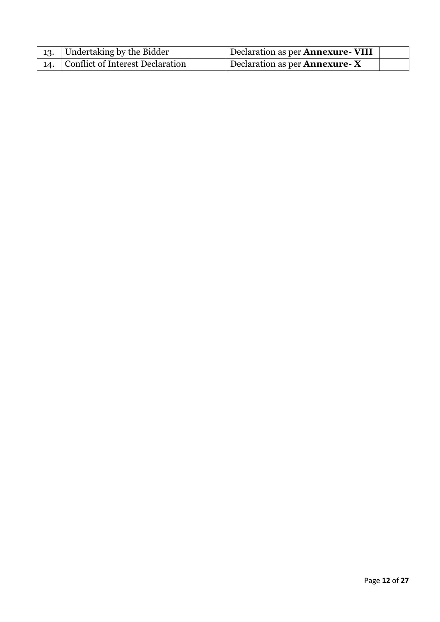| 13. Undertaking by the Bidder        | Declaration as per <b>Annexure- VIII</b> |  |
|--------------------------------------|------------------------------------------|--|
| 14. Conflict of Interest Declaration | Declaration as per <b>Annexure-</b> $X$  |  |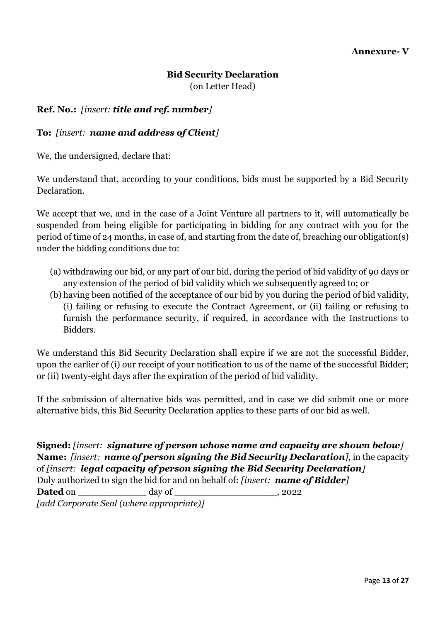# **Bid Security Declaration**

(on Letter Head)

## **Ref. No.:** *[insert: title and ref. number]*

#### **To:** *[insert: name and address of Client]*

We, the undersigned, declare that:

We understand that, according to your conditions, bids must be supported by a Bid Security Declaration.

We accept that we, and in the case of a Joint Venture all partners to it, will automatically be suspended from being eligible for participating in bidding for any contract with you for the period of time of 24 months*,* in case of, and starting from the date of, breaching our obligation(s) under the bidding conditions due to:

- (a) withdrawing our bid, or any part of our bid, during the period of bid validity of 90 days or any extension of the period of bid validity which we subsequently agreed to; or
- (b) having been notified of the acceptance of our bid by you during the period of bid validity, (i) failing or refusing to execute the Contract Agreement, or (ii) failing or refusing to furnish the performance security, if required, in accordance with the Instructions to Bidders.

We understand this Bid Security Declaration shall expire if we are not the successful Bidder, upon the earlier of (i) our receipt of your notification to us of the name of the successful Bidder; or (ii) twenty-eight days after the expiration of the period of bid validity.

If the submission of alternative bids was permitted, and in case we did submit one or more alternative bids, this Bid Security Declaration applies to these parts of our bid as well.

**Signed:** *[insert: signature of person whose name and capacity are shown below]* **Name:** *[insert: name of person signing the Bid Security Declaration],* in the capacity of *[insert: legal capacity of person signing the Bid Security Declaration]* Duly authorized to sign the bid for and on behalf of: *[insert: name of Bidder]* **Dated** on \_\_\_\_\_\_\_\_\_\_\_\_ day of \_\_\_\_\_\_\_\_\_\_\_\_\_\_\_\_\_\_, 2022 *[add Corporate Seal (where appropriate)]*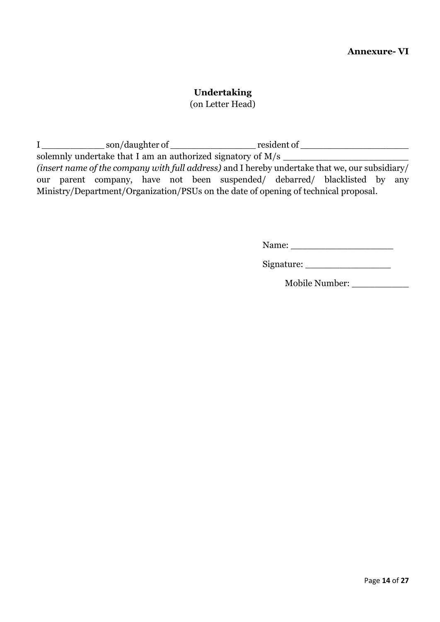## **Undertaking**

(on Letter Head)

I \_\_\_\_\_\_\_\_\_\_\_ son/daughter of \_\_\_\_\_\_\_\_\_\_\_\_\_\_\_ resident of \_\_\_\_\_\_\_\_\_\_\_\_\_\_\_\_\_\_\_ solemnly undertake that I am an authorized signatory of M/s \_\_\_\_\_\_\_\_\_\_\_\_\_\_\_\_\_\_\_\_\_\_ *(insert name of the company with full address)* and I hereby undertake that we, our subsidiary/ our parent company, have not been suspended/ debarred/ blacklisted by any Ministry/Department/Organization/PSUs on the date of opening of technical proposal.

Name: \_\_\_\_\_\_\_\_\_\_\_\_\_\_\_\_\_\_

Signature: \_\_\_\_\_\_\_\_\_\_\_\_\_\_\_

Mobile Number: \_\_\_\_\_\_\_\_\_\_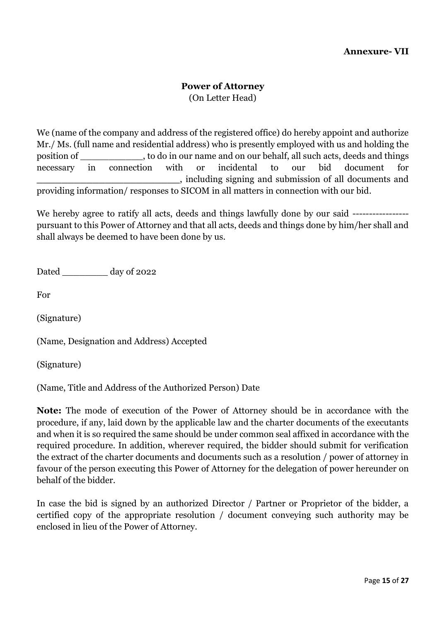#### **Power of Attorney**

(On Letter Head)

We (name of the company and address of the registered office) do hereby appoint and authorize Mr./ Ms. (full name and residential address) who is presently employed with us and holding the position of \_\_\_\_\_\_\_\_\_\_\_, to do in our name and on our behalf, all such acts, deeds and things necessary in connection with or incidental to our bid document for **\_\_\_\_\_\_\_\_\_\_\_\_\_\_\_\_\_\_\_\_\_\_\_**, including signing and submission of all documents and providing information/ responses to SICOM in all matters in connection with our bid.

We hereby agree to ratify all acts, deeds and things lawfully done by our said ------------------------------pursuant to this Power of Attorney and that all acts, deeds and things done by him/her shall and shall always be deemed to have been done by us.

Dated day of 2022

For

(Signature)

(Name, Designation and Address) Accepted

(Signature)

(Name, Title and Address of the Authorized Person) Date

**Note:** The mode of execution of the Power of Attorney should be in accordance with the procedure, if any, laid down by the applicable law and the charter documents of the executants and when it is so required the same should be under common seal affixed in accordance with the required procedure. In addition, wherever required, the bidder should submit for verification the extract of the charter documents and documents such as a resolution / power of attorney in favour of the person executing this Power of Attorney for the delegation of power hereunder on behalf of the bidder.

In case the bid is signed by an authorized Director / Partner or Proprietor of the bidder, a certified copy of the appropriate resolution / document conveying such authority may be enclosed in lieu of the Power of Attorney.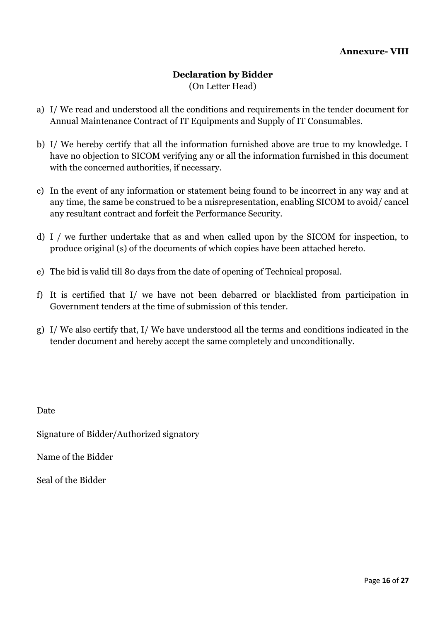#### **Declaration by Bidder**  (On Letter Head)

- a) I/ We read and understood all the conditions and requirements in the tender document for Annual Maintenance Contract of IT Equipments and Supply of IT Consumables.
- b) I/ We hereby certify that all the information furnished above are true to my knowledge. I have no objection to SICOM verifying any or all the information furnished in this document with the concerned authorities, if necessary.
- c) In the event of any information or statement being found to be incorrect in any way and at any time, the same be construed to be a misrepresentation, enabling SICOM to avoid/ cancel any resultant contract and forfeit the Performance Security.
- d) I / we further undertake that as and when called upon by the SICOM for inspection, to produce original (s) of the documents of which copies have been attached hereto.
- e) The bid is valid till 80 days from the date of opening of Technical proposal.
- f) It is certified that I/ we have not been debarred or blacklisted from participation in Government tenders at the time of submission of this tender.
- g) I/ We also certify that, I/ We have understood all the terms and conditions indicated in the tender document and hereby accept the same completely and unconditionally.

Date

Signature of Bidder/Authorized signatory

Name of the Bidder

Seal of the Bidder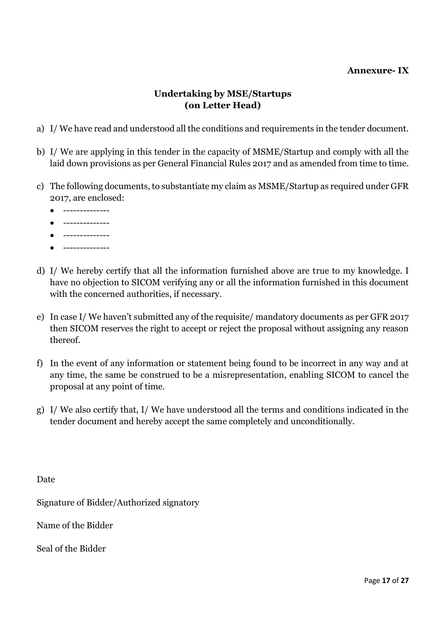#### **Annexure- IX**

# **Undertaking by MSE/Startups (on Letter Head)**

- a) I/ We have read and understood all the conditions and requirements in the tender document.
- b) I/ We are applying in this tender in the capacity of MSME/Startup and comply with all the laid down provisions as per General Financial Rules 2017 and as amended from time to time.
- c) The following documents, to substantiate my claim as MSME/Startup as required under GFR 2017, are enclosed:
	- --------------
	- --------------
	- $\bullet$  --------------
	- --------------
- d) I/ We hereby certify that all the information furnished above are true to my knowledge. I have no objection to SICOM verifying any or all the information furnished in this document with the concerned authorities, if necessary.
- e) In case I/ We haven't submitted any of the requisite/ mandatory documents as per GFR 2017 then SICOM reserves the right to accept or reject the proposal without assigning any reason thereof.
- f) In the event of any information or statement being found to be incorrect in any way and at any time, the same be construed to be a misrepresentation, enabling SICOM to cancel the proposal at any point of time.
- g) I/ We also certify that, I/ We have understood all the terms and conditions indicated in the tender document and hereby accept the same completely and unconditionally.

Date

Signature of Bidder/Authorized signatory

Name of the Bidder

Seal of the Bidder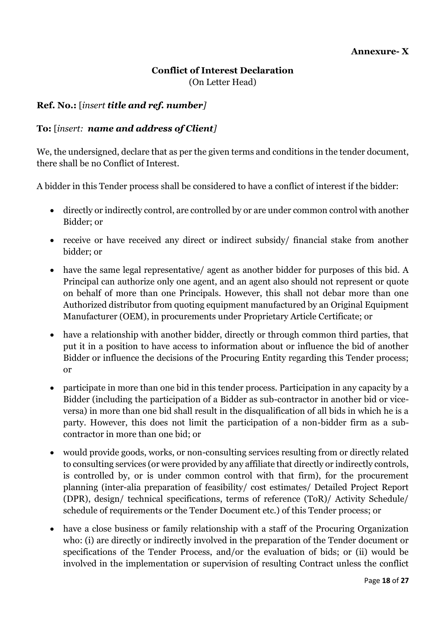# **Conflict of Interest Declaration** (On Letter Head)

#### **Ref. No.:** [*insert title and ref. number]*

#### **To:** [*insert: name and address of Client]*

We, the undersigned, declare that as per the given terms and conditions in the tender document, there shall be no Conflict of Interest.

A bidder in this Tender process shall be considered to have a conflict of interest if the bidder:

- directly or indirectly control, are controlled by or are under common control with another Bidder; or
- receive or have received any direct or indirect subsidy/ financial stake from another bidder; or
- have the same legal representative/ agent as another bidder for purposes of this bid. A Principal can authorize only one agent, and an agent also should not represent or quote on behalf of more than one Principals. However, this shall not debar more than one Authorized distributor from quoting equipment manufactured by an Original Equipment Manufacturer (OEM), in procurements under Proprietary Article Certificate; or
- have a relationship with another bidder, directly or through common third parties, that put it in a position to have access to information about or influence the bid of another Bidder or influence the decisions of the Procuring Entity regarding this Tender process; or
- participate in more than one bid in this tender process. Participation in any capacity by a Bidder (including the participation of a Bidder as sub-contractor in another bid or viceversa) in more than one bid shall result in the disqualification of all bids in which he is a party. However, this does not limit the participation of a non-bidder firm as a subcontractor in more than one bid; or
- would provide goods, works, or non-consulting services resulting from or directly related to consulting services (or were provided by any affiliate that directly or indirectly controls, is controlled by, or is under common control with that firm), for the procurement planning (inter-alia preparation of feasibility/ cost estimates/ Detailed Project Report (DPR), design/ technical specifications, terms of reference (ToR)/ Activity Schedule/ schedule of requirements or the Tender Document etc.) of this Tender process; or
- have a close business or family relationship with a staff of the Procuring Organization who: (i) are directly or indirectly involved in the preparation of the Tender document or specifications of the Tender Process, and/or the evaluation of bids; or (ii) would be involved in the implementation or supervision of resulting Contract unless the conflict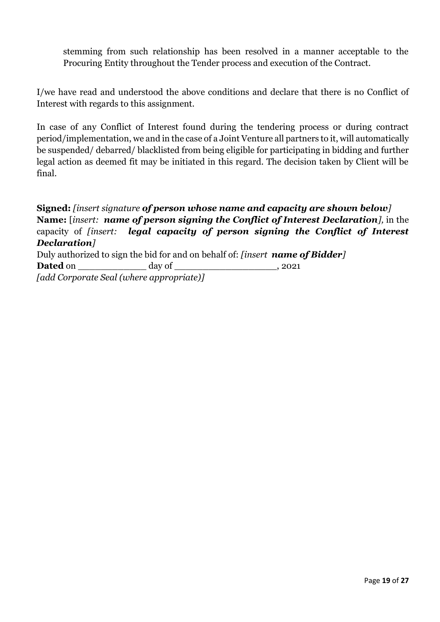stemming from such relationship has been resolved in a manner acceptable to the Procuring Entity throughout the Tender process and execution of the Contract.

I/we have read and understood the above conditions and declare that there is no Conflict of Interest with regards to this assignment.

In case of any Conflict of Interest found during the tendering process or during contract period/implementation, we and in the case of a Joint Venture all partners to it, will automatically be suspended/ debarred/ blacklisted from being eligible for participating in bidding and further legal action as deemed fit may be initiated in this regard. The decision taken by Client will be final.

# **Signed:** *[insert signature of person whose name and capacity are shown below]* **Name:** [*insert: name of person signing the Conflict of Interest Declaration],* in the capacity of *[insert: legal capacity of person signing the Conflict of Interest Declaration]*

Duly authorized to sign the bid for and on behalf of: *[insert name of Bidder]* **Dated** on \_\_\_\_\_\_\_\_\_\_\_\_\_\_ day of \_\_\_\_\_\_\_\_\_\_\_\_\_\_\_\_\_\_\_, 2021 *[add Corporate Seal (where appropriate)]*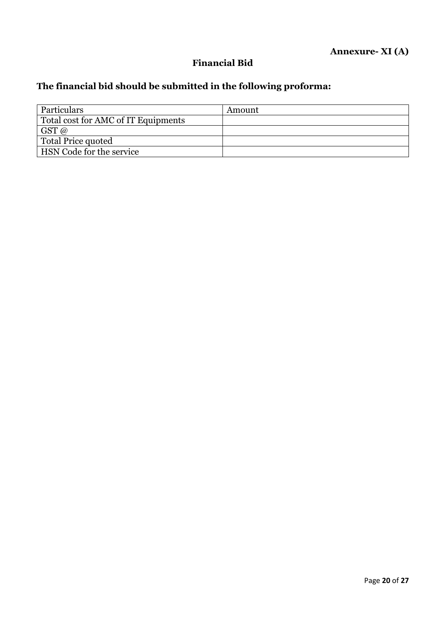# **Financial Bid**

# **The financial bid should be submitted in the following proforma:**

| Particulars                         | Amount |
|-------------------------------------|--------|
| Total cost for AMC of IT Equipments |        |
| $GST$ @                             |        |
| <b>Total Price quoted</b>           |        |
| HSN Code for the service            |        |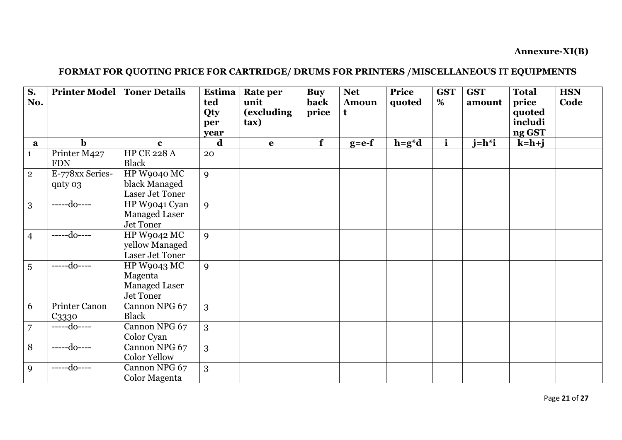**Annexure-XI(B)** 

# **FORMAT FOR QUOTING PRICE FOR CARTRIDGE/ DRUMS FOR PRINTERS /MISCELLANEOUS IT EQUIPMENTS**

| S.<br>No.      | <b>Printer Model   Toner Details</b> |                                                                    | Estima<br>ted<br>Qty<br>per<br>year | <b>Rate per</b><br>unit<br>(excluding<br>$\{tax\}$ | <b>Buy</b><br>back<br>price | <b>Net</b><br><b>Amoun</b><br>t | Price<br>quoted | <b>GST</b><br>% | <b>GST</b><br>amount | <b>Total</b><br>price<br>quoted<br>includi<br>ng GST | <b>HSN</b><br>Code |
|----------------|--------------------------------------|--------------------------------------------------------------------|-------------------------------------|----------------------------------------------------|-----------------------------|---------------------------------|-----------------|-----------------|----------------------|------------------------------------------------------|--------------------|
| a              | $\mathbf b$                          | $\mathbf{c}$                                                       | d                                   | $\mathbf e$                                        | $\overline{\mathbf{f}}$     | $g = e - f$                     | $h = g^*d$      | $\mathbf{i}$    | $i=h^*i$             | $k=h+j$                                              |                    |
| $\mathbf{1}$   | Printer M427<br><b>FDN</b>           | HP CE 228 A<br>Black                                               | 20                                  |                                                    |                             |                                 |                 |                 |                      |                                                      |                    |
| $\mathbf{2}$   | E-778xx Series-<br>qnty 03           | HP W9040 MC<br>black Managed<br>Laser Jet Toner                    | 9                                   |                                                    |                             |                                 |                 |                 |                      |                                                      |                    |
| 3              | -----do----                          | HP W9041 Cyan<br><b>Managed Laser</b><br>Jet Toner                 | 9                                   |                                                    |                             |                                 |                 |                 |                      |                                                      |                    |
| $\overline{4}$ | $---do---$                           | HP W9042 MC<br>yellow Managed<br>Laser Jet Toner                   | $\mathbf{Q}$                        |                                                    |                             |                                 |                 |                 |                      |                                                      |                    |
| 5              | -----do----                          | <b>HP W9043 MC</b><br>Magenta<br><b>Managed Laser</b><br>Jet Toner | 9                                   |                                                    |                             |                                 |                 |                 |                      |                                                      |                    |
| 6              | Printer Canon<br>C3330               | Cannon NPG 67<br>Black                                             | 3                                   |                                                    |                             |                                 |                 |                 |                      |                                                      |                    |
| $\overline{7}$ | $---do---$                           | Cannon NPG 67<br>Color Cyan                                        | 3                                   |                                                    |                             |                                 |                 |                 |                      |                                                      |                    |
| 8              | -----do----                          | Cannon NPG 67<br><b>Color Yellow</b>                               | 3                                   |                                                    |                             |                                 |                 |                 |                      |                                                      |                    |
| 9              | -----do----                          | Cannon NPG 67<br>Color Magenta                                     | 3                                   |                                                    |                             |                                 |                 |                 |                      |                                                      |                    |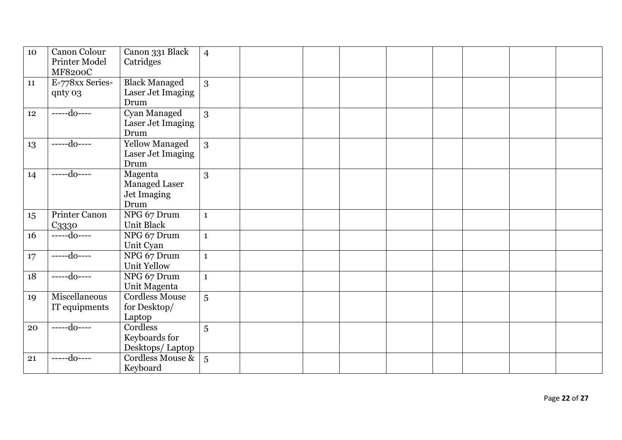| 10 | Canon Colour<br>Printer Model<br><b>MF8200C</b> | Canon 331 Black<br>Catridges                           | $\overline{4}$ |  |  |  |  |
|----|-------------------------------------------------|--------------------------------------------------------|----------------|--|--|--|--|
| 11 | E-778xx Series-<br>qnty 03                      | <b>Black Managed</b><br>Laser Jet Imaging<br>Drum      | 3              |  |  |  |  |
| 12 | $---do---$                                      | Cyan Managed<br>Laser Jet Imaging<br>Drum              | 3              |  |  |  |  |
| 13 | $---do---$                                      | <b>Yellow Managed</b><br>Laser Jet Imaging<br>Drum     | 3              |  |  |  |  |
| 14 | $---do---$                                      | Magenta<br><b>Managed Laser</b><br>Jet Imaging<br>Drum | 3              |  |  |  |  |
| 15 | Printer Canon<br>C3330                          | NPG 67 Drum<br><b>Unit Black</b>                       | $\mathbf{1}$   |  |  |  |  |
| 16 | $---do---$                                      | NPG 67 Drum<br>Unit Cyan                               | $\mathbf{1}$   |  |  |  |  |
| 17 | $---do---$                                      | NPG 67 Drum<br><b>Unit Yellow</b>                      | $\mathbf{1}$   |  |  |  |  |
| 18 | $---do---$                                      | NPG 67 Drum<br>Unit Magenta                            | $\mathbf{1}$   |  |  |  |  |
| 19 | Miscellaneous<br>IT equipments                  | <b>Cordless Mouse</b><br>for Desktop/<br>Laptop        | $\overline{5}$ |  |  |  |  |
| 20 | $---do---$                                      | Cordless<br>Keyboards for<br>Desktops/Laptop           | 5              |  |  |  |  |
| 21 | $---do---$                                      | Cordless Mouse &<br>Keyboard                           | $\overline{5}$ |  |  |  |  |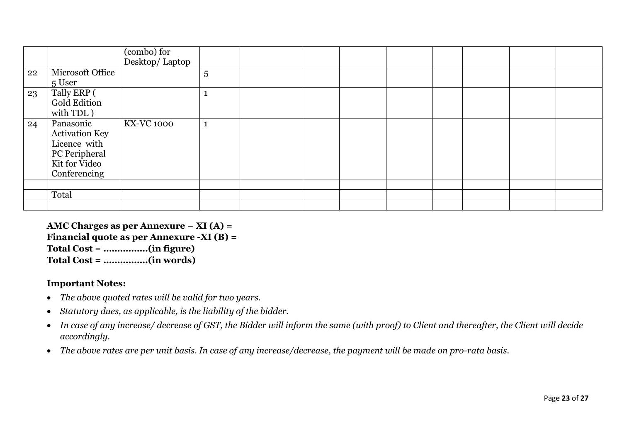|    |                                                                                                      | (combo) for<br>Desktop/ Laptop |                |  |  |  |  |
|----|------------------------------------------------------------------------------------------------------|--------------------------------|----------------|--|--|--|--|
| 22 | Microsoft Office<br>5 User                                                                           |                                | $\overline{5}$ |  |  |  |  |
| 23 | Tally ERP (<br>Gold Edition<br>with TDL)                                                             |                                |                |  |  |  |  |
| 24 | Panasonic<br><b>Activation Key</b><br>Licence with<br>PC Peripheral<br>Kit for Video<br>Conferencing | <b>KX-VC 1000</b>              |                |  |  |  |  |
|    | Total                                                                                                |                                |                |  |  |  |  |

**AMC Charges as per Annexure – XI (A) = Financial quote as per Annexure -XI (B) = Total Cost = …………….(in figure) Total Cost = …………….(in words)**

#### **Important Notes:**

- *The above quoted rates will be valid for two years.*
- *Statutory dues, as applicable, is the liability of the bidder.*
- *In case of any increase/ decrease of GST, the Bidder will inform the same (with proof) to Client and thereafter, the Client will decide accordingly.*
- *The above rates are per unit basis. In case of any increase/decrease, the payment will be made on pro-rata basis.*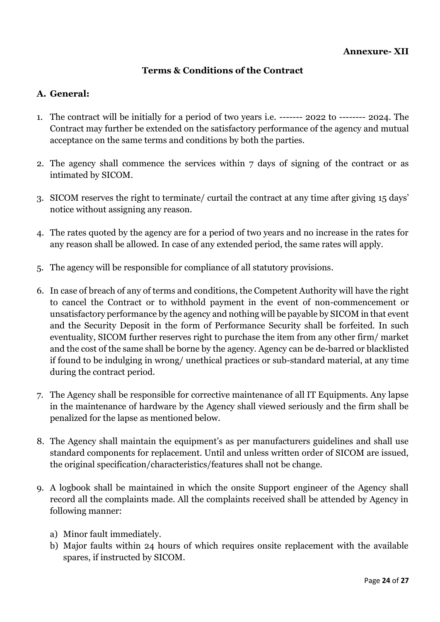#### **Terms & Conditions of the Contract**

#### **A. General:**

- 1. The contract will be initially for a period of two years i.e. ------- 2022 to -------- 2024. The Contract may further be extended on the satisfactory performance of the agency and mutual acceptance on the same terms and conditions by both the parties.
- 2. The agency shall commence the services within 7 days of signing of the contract or as intimated by SICOM.
- 3. SICOM reserves the right to terminate/ curtail the contract at any time after giving 15 days' notice without assigning any reason.
- 4. The rates quoted by the agency are for a period of two years and no increase in the rates for any reason shall be allowed. In case of any extended period, the same rates will apply.
- 5. The agency will be responsible for compliance of all statutory provisions.
- 6. In case of breach of any of terms and conditions, the Competent Authority will have the right to cancel the Contract or to withhold payment in the event of non-commencement or unsatisfactory performance by the agency and nothing will be payable by SICOM in that event and the Security Deposit in the form of Performance Security shall be forfeited. In such eventuality, SICOM further reserves right to purchase the item from any other firm/ market and the cost of the same shall be borne by the agency. Agency can be de-barred or blacklisted if found to be indulging in wrong/ unethical practices or sub-standard material, at any time during the contract period.
- 7. The Agency shall be responsible for corrective maintenance of all IT Equipments. Any lapse in the maintenance of hardware by the Agency shall viewed seriously and the firm shall be penalized for the lapse as mentioned below.
- 8. The Agency shall maintain the equipment's as per manufacturers guidelines and shall use standard components for replacement. Until and unless written order of SICOM are issued, the original specification/characteristics/features shall not be change.
- 9. A logbook shall be maintained in which the onsite Support engineer of the Agency shall record all the complaints made. All the complaints received shall be attended by Agency in following manner:
	- a) Minor fault immediately.
	- b) Major faults within 24 hours of which requires onsite replacement with the available spares, if instructed by SICOM.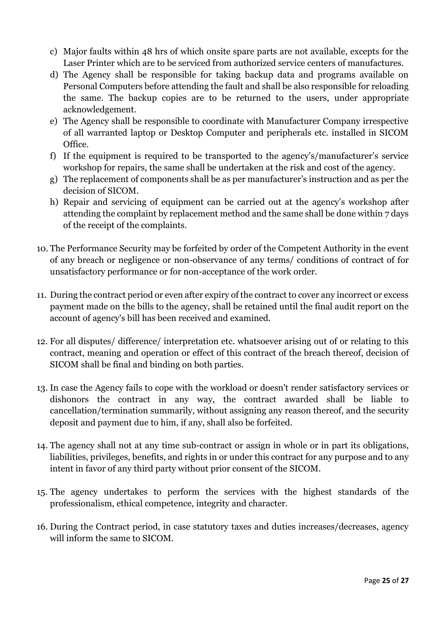- c) Major faults within 48 hrs of which onsite spare parts are not available, excepts for the Laser Printer which are to be serviced from authorized service centers of manufactures.
- d) The Agency shall be responsible for taking backup data and programs available on Personal Computers before attending the fault and shall be also responsible for reloading the same. The backup copies are to be returned to the users, under appropriate acknowledgement.
- e) The Agency shall be responsible to coordinate with Manufacturer Company irrespective of all warranted laptop or Desktop Computer and peripherals etc. installed in SICOM Office.
- f) If the equipment is required to be transported to the agency's/manufacturer's service workshop for repairs, the same shall be undertaken at the risk and cost of the agency.
- g) The replacement of components shall be as per manufacturer's instruction and as per the decision of SICOM.
- h) Repair and servicing of equipment can be carried out at the agency's workshop after attending the complaint by replacement method and the same shall be done within 7 days of the receipt of the complaints.
- 10. The Performance Security may be forfeited by order of the Competent Authority in the event of any breach or negligence or non-observance of any terms/ conditions of contract of for unsatisfactory performance or for non-acceptance of the work order.
- 11. During the contract period or even after expiry of the contract to cover any incorrect or excess payment made on the bills to the agency, shall be retained until the final audit report on the account of agency's bill has been received and examined.
- 12. For all disputes/ difference/ interpretation etc. whatsoever arising out of or relating to this contract, meaning and operation or effect of this contract of the breach thereof, decision of SICOM shall be final and binding on both parties.
- 13. In case the Agency fails to cope with the workload or doesn't render satisfactory services or dishonors the contract in any way, the contract awarded shall be liable to cancellation/termination summarily, without assigning any reason thereof, and the security deposit and payment due to him, if any, shall also be forfeited.
- 14. The agency shall not at any time sub-contract or assign in whole or in part its obligations, liabilities, privileges, benefits, and rights in or under this contract for any purpose and to any intent in favor of any third party without prior consent of the SICOM.
- 15. The agency undertakes to perform the services with the highest standards of the professionalism, ethical competence, integrity and character.
- 16. During the Contract period, in case statutory taxes and duties increases/decreases, agency will inform the same to SICOM.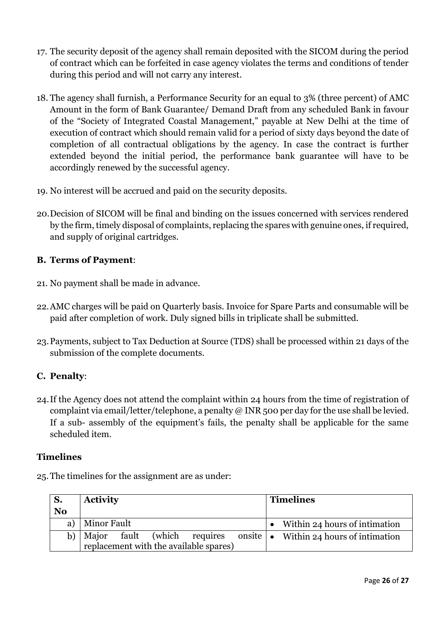- 17. The security deposit of the agency shall remain deposited with the SICOM during the period of contract which can be forfeited in case agency violates the terms and conditions of tender during this period and will not carry any interest.
- 18. The agency shall furnish, a Performance Security for an equal to 3% (three percent) of AMC Amount in the form of Bank Guarantee/ Demand Draft from any scheduled Bank in favour of the "Society of Integrated Coastal Management," payable at New Delhi at the time of execution of contract which should remain valid for a period of sixty days beyond the date of completion of all contractual obligations by the agency. In case the contract is further extended beyond the initial period, the performance bank guarantee will have to be accordingly renewed by the successful agency.
- 19. No interest will be accrued and paid on the security deposits.
- 20.Decision of SICOM will be final and binding on the issues concerned with services rendered by the firm, timely disposal of complaints, replacing the spares with genuine ones, if required, and supply of original cartridges.

## **B. Terms of Payment**:

- 21. No payment shall be made in advance.
- 22.AMC charges will be paid on Quarterly basis. Invoice for Spare Parts and consumable will be paid after completion of work. Duly signed bills in triplicate shall be submitted.
- 23.Payments, subject to Tax Deduction at Source (TDS) shall be processed within 21 days of the submission of the complete documents.

#### **C. Penalty**:

24.If the Agency does not attend the complaint within 24 hours from the time of registration of complaint via email/letter/telephone, a penalty  $\omega$  INR 500 per day for the use shall be levied. If a sub- assembly of the equipment's fails, the penalty shall be applicable for the same scheduled item.

#### **Timelines**

25.The timelines for the assignment are as under:

| S.             | <b>Activity</b>                        | <b>Timelines</b>                               |  |  |  |  |
|----------------|----------------------------------------|------------------------------------------------|--|--|--|--|
| N <sub>o</sub> |                                        |                                                |  |  |  |  |
| a)             | Minor Fault                            | • Within 24 hours of intimation                |  |  |  |  |
| b)             | fault (which requires<br>Major         | onsite $\bullet$ Within 24 hours of intimation |  |  |  |  |
|                | replacement with the available spares) |                                                |  |  |  |  |